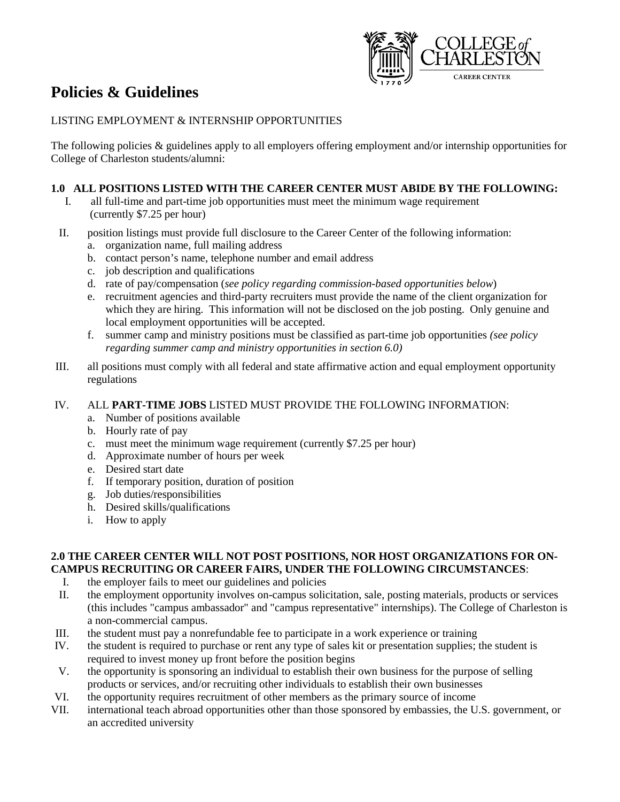

# **Policies & Guidelines**

## LISTING EMPLOYMENT & INTERNSHIP OPPORTUNITIES

The following policies & guidelines apply to all employers offering employment and/or internship opportunities for College of Charleston students/alumni:

# **1.0 ALL POSITIONS LISTED WITH THE CAREER CENTER MUST ABIDE BY THE FOLLOWING:**

- I. all full-time and part-time job opportunities must meet the minimum wage requirement (currently \$7.25 per hour)
- II. position listings must provide full disclosure to the Career Center of the following information: a. organization name, full mailing address
	- b. contact person's name, telephone number and email address
	- c. job description and qualifications
	- d. rate of pay/compensation (*see policy regarding commission-based opportunities below*)
	- e. recruitment agencies and third-party recruiters must provide the name of the client organization for which they are hiring. This information will not be disclosed on the job posting. Only genuine and local employment opportunities will be accepted.
	- f. summer camp and ministry positions must be classified as part-time job opportunities *(see policy regarding summer camp and ministry opportunities in section 6.0)*
- III. all positions must comply with all federal and state affirmative action and equal employment opportunity regulations

#### IV. ALL **PART-TIME JOBS** LISTED MUST PROVIDE THE FOLLOWING INFORMATION:

- a. Number of positions available
- b. Hourly rate of pay
- c. must meet the minimum wage requirement (currently \$7.25 per hour)
- d. Approximate number of hours per week
- e. Desired start date
- f. If temporary position, duration of position
- g. Job duties/responsibilities
- h. Desired skills/qualifications
- i. How to apply

## **2.0 THE CAREER CENTER WILL NOT POST POSITIONS, NOR HOST ORGANIZATIONS FOR ON-CAMPUS RECRUITING OR CAREER FAIRS, UNDER THE FOLLOWING CIRCUMSTANCES**:

- I. the employer fails to meet our guidelines and policies
- II. the employment opportunity involves on-campus solicitation, sale, posting materials, products or services (this includes "campus ambassador" and "campus representative" internships). The College of Charleston is a non-commercial campus.
- III. the student must pay a nonrefundable fee to participate in a work experience or training
- IV. the student is required to purchase or rent any type of sales kit or presentation supplies; the student is required to invest money up front before the position begins
- V. the opportunity is sponsoring an individual to establish their own business for the purpose of selling products or services, and/or recruiting other individuals to establish their own businesses
- VI. the opportunity requires recruitment of other members as the primary source of income
- VII. international teach abroad opportunities other than those sponsored by embassies, the U.S. government, or an accredited university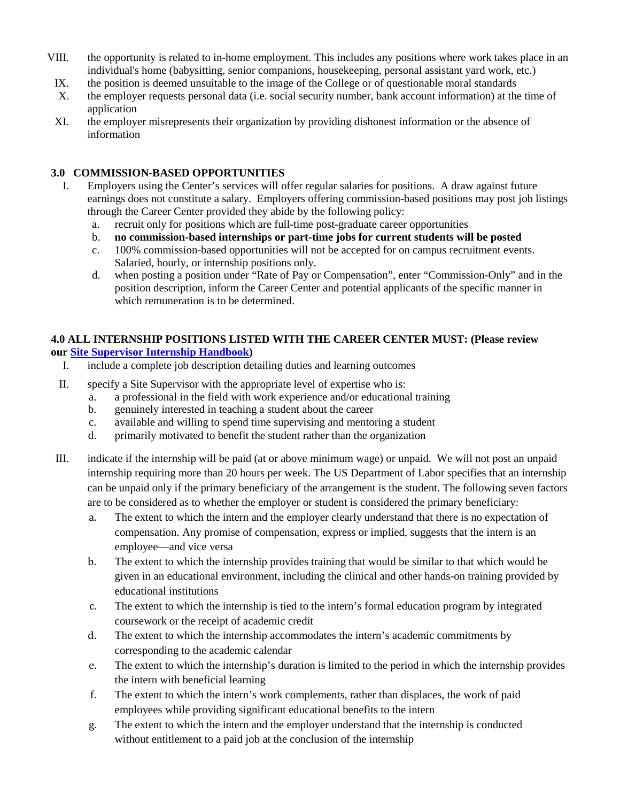- VIII. the opportunity is related to in-home employment. This includes any positions where work takes place in an individual's home (babysitting, senior companions, housekeeping, personal assistant yard work, etc.)
	- IX. the position is deemed unsuitable to the image of the College or of questionable moral standards
	- X. the employer requests personal data (i.e. social security number, bank account information) at the time of application
	- XI. the employer misrepresents their organization by providing dishonest information or the absence of information

## **3.0 COMMISSION-BASED OPPORTUNITIES**

- I. Employers using the Center's services will offer regular salaries for positions. A draw against future earnings does not constitute a salary. Employers offering commission-based positions may post job listings through the Career Center provided they abide by the following policy:
	- a. recruit only for positions which are full-time post-graduate career opportunities
	- b. **no commission-based internships or part-time jobs for current students will be posted**
	- c. 100% commission-based opportunities will not be accepted for on campus recruitment events. Salaried, hourly, or internship positions only.
	- d. when posting a position under "Rate of Pay or Compensation", enter "Commission-Only" and in the position description, inform the Career Center and potential applicants of the specific manner in which remuneration is to be determined.

## **4.0 ALL INTERNSHIP POSITIONS LISTED WITH THE CAREER CENTER MUST: (Please review our [Site Supervisor Internship Handbook\)](http://careercenter.cofc.edu/documents/Internship%20Supervisor%20Handbook.pdf)**

- I. include a complete job description detailing duties and learning outcomes
- II. specify a Site Supervisor with the appropriate level of expertise who is:
	- a. a professional in the field with work experience and/or educational training
	- b. genuinely interested in teaching a student about the career
	- c. available and willing to spend time supervising and mentoring a student
	- d. primarily motivated to benefit the student rather than the organization
- III. indicate if the internship will be paid (at or above minimum wage) or unpaid. We will not post an unpaid internship requiring more than 20 hours per week. The US Department of Labor specifies that an internship can be unpaid only if the primary beneficiary of the arrangement is the student. The following seven factors are to be considered as to whether the employer or student is considered the primary beneficiary:
	- a. The extent to which the intern and the employer clearly understand that there is no expectation of compensation. Any promise of compensation, express or implied, suggests that the intern is an employee—and vice versa
	- b. The extent to which the internship provides training that would be similar to that which would be given in an educational environment, including the clinical and other hands-on training provided by educational institutions
	- c. The extent to which the internship is tied to the intern's formal education program by integrated coursework or the receipt of academic credit
	- d. The extent to which the internship accommodates the intern's academic commitments by corresponding to the academic calendar
	- e. The extent to which the internship's duration is limited to the period in which the internship provides the intern with beneficial learning
	- f. The extent to which the intern's work complements, rather than displaces, the work of paid employees while providing significant educational benefits to the intern
	- g. The extent to which the intern and the employer understand that the internship is conducted without entitlement to a paid job at the conclusion of the internship